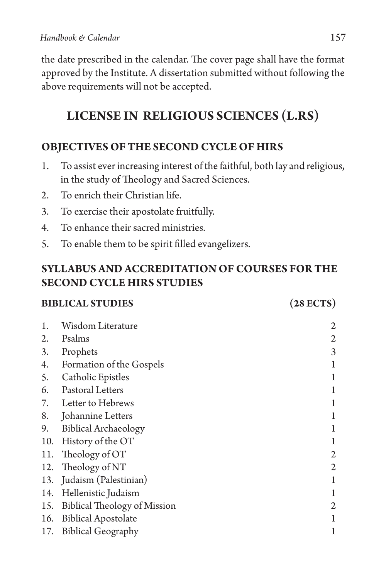the date prescribed in the calendar. The cover page shall have the format approved by the Institute. A dissertation submitted without following the above requirements will not be accepted.

# **LICENSE IN RELIGIOUS SCIENCES (L.RS)**

## **OBJECTIVES OF THE SECOND CYCLE OF HIRS**

- 1. To assist ever increasing interest of the faithful, both lay and religious, in the study of Theology and Sacred Sciences.
- 2. To enrich their Christian life.
- 3. To exercise their apostolate fruitfully.
- 4. To enhance their sacred ministries.
- 5. To enable them to be spirit filled evangelizers.

## **SYLLABUS AND ACCREDITATION OF COURSES FOR THE SECOND CYCLE HIRS STUDIES**

### **BIBLICAL STUDIES (28 ECTS)**

| 1.  | Wisdom Literature            | 2 |
|-----|------------------------------|---|
| 2.  | Psalms                       | 2 |
| 3.  | Prophets                     | 3 |
| 4.  | Formation of the Gospels     |   |
| 5.  | Catholic Epistles            |   |
| 6.  | Pastoral Letters             |   |
| 7.  | Letter to Hebrews            |   |
| 8.  | Johannine Letters            |   |
| 9.  | <b>Biblical Archaeology</b>  |   |
| 10. | History of the OT            |   |
| 11. | Theology of OT               | 2 |
| 12. | Theology of NT               | 2 |
| 13. | Judaism (Palestinian)        |   |
| 14. | Hellenistic Judaism          |   |
| 15. | Biblical Theology of Mission | 2 |
| 16. | <b>Biblical Apostolate</b>   |   |
| 17. | <b>Biblical Geography</b>    | 1 |
|     |                              |   |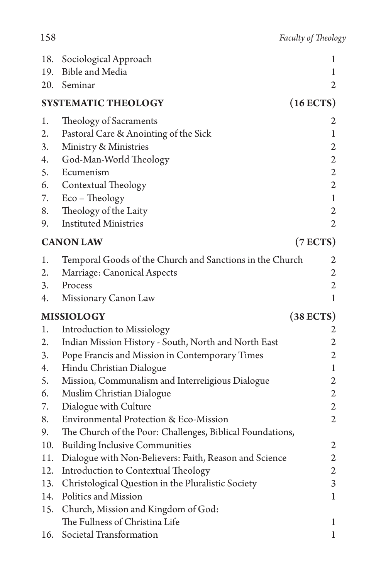| 18.                                | Sociological Approach                                     | 1                       |  |  |
|------------------------------------|-----------------------------------------------------------|-------------------------|--|--|
| 19.                                | Bible and Media                                           | 1                       |  |  |
| 20.                                | Seminar                                                   | 2                       |  |  |
| $(16$ ECTS)<br>SYSTEMATIC THEOLOGY |                                                           |                         |  |  |
| 1.                                 | Theology of Sacraments                                    | 2                       |  |  |
| 2.                                 | Pastoral Care & Anointing of the Sick                     | $\mathbf{1}$            |  |  |
| 3.                                 | Ministry & Ministries                                     | $\overline{2}$          |  |  |
| 4.                                 | God-Man-World Theology                                    | $\overline{2}$          |  |  |
| 5.                                 | Ecumenism                                                 | $\mathbf{2}$            |  |  |
| 6.                                 | Contextual Theology                                       | $\overline{2}$          |  |  |
| 7.                                 | Eco - Theology                                            | $\mathbf{1}$            |  |  |
| 8.                                 | Theology of the Laity                                     | $\mathbf{2}$            |  |  |
| 9.                                 | <b>Instituted Ministries</b>                              | $\overline{2}$          |  |  |
| (7 ECTS)<br><b>CANON LAW</b>       |                                                           |                         |  |  |
| 1.                                 | Temporal Goods of the Church and Sanctions in the Church  | $\overline{\mathbf{c}}$ |  |  |
| 2.                                 | Marriage: Canonical Aspects                               | $\mathfrak{2}$          |  |  |
| 3.                                 | Process                                                   | $\mathbf{2}$            |  |  |
| 4.                                 | Missionary Canon Law                                      | $\mathbf{1}$            |  |  |
|                                    | <b>MISSIOLOGY</b>                                         | $(38$ ECTS)             |  |  |
| 1.                                 | <b>Introduction to Missiology</b>                         | 2                       |  |  |
| 2.                                 | Indian Mission History - South, North and North East      | $\overline{2}$          |  |  |
| 3.                                 | Pope Francis and Mission in Contemporary Times            | $\mathbf{2}$            |  |  |
| 4.                                 | Hindu Christian Dialogue                                  | $\mathbf 1$             |  |  |
| 5.                                 | Mission, Communalism and Interreligious Dialogue          | $\mathfrak{2}$          |  |  |
| 6.                                 | Muslim Christian Dialogue                                 | $\mathbf{2}$            |  |  |
| 7.                                 | Dialogue with Culture                                     | $\overline{2}$          |  |  |
| 8.                                 | Environmental Protection & Eco-Mission                    | $\overline{2}$          |  |  |
| 9.                                 | The Church of the Poor: Challenges, Biblical Foundations, |                         |  |  |
| 10.                                | <b>Building Inclusive Communities</b>                     | $\mathfrak{2}$          |  |  |
| 11.                                | Dialogue with Non-Believers: Faith, Reason and Science    | $\mathfrak{2}$          |  |  |
| 12.                                | Introduction to Contextual Theology                       | $\mathfrak{2}$          |  |  |
| 13.                                | Christological Question in the Pluralistic Society        | 3                       |  |  |
| 14.                                | Politics and Mission                                      | 1                       |  |  |
| 15.                                | Church, Mission and Kingdom of God:                       |                         |  |  |
|                                    | The Fullness of Christina Life                            | 1                       |  |  |
| 16.                                | Societal Transformation                                   | 1                       |  |  |